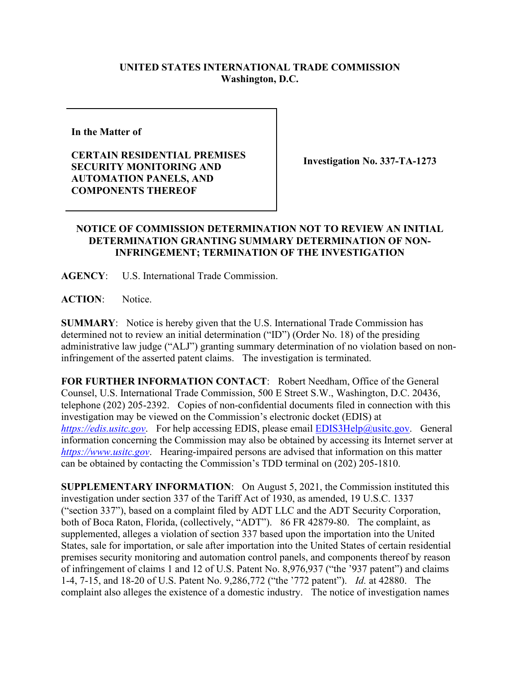## **UNITED STATES INTERNATIONAL TRADE COMMISSION Washington, D.C.**

**In the Matter of** 

**CERTAIN RESIDENTIAL PREMISES SECURITY MONITORING AND AUTOMATION PANELS, AND COMPONENTS THEREOF**

**Investigation No. 337-TA-1273** 

## **NOTICE OF COMMISSION DETERMINATION NOT TO REVIEW AN INITIAL DETERMINATION GRANTING SUMMARY DETERMINATION OF NON-INFRINGEMENT; TERMINATION OF THE INVESTIGATION**

**AGENCY**: U.S. International Trade Commission.

**ACTION**: Notice.

**SUMMARY**: Notice is hereby given that the U.S. International Trade Commission has determined not to review an initial determination ("ID") (Order No. 18) of the presiding administrative law judge ("ALJ") granting summary determination of no violation based on noninfringement of the asserted patent claims. The investigation is terminated.

**FOR FURTHER INFORMATION CONTACT**: Robert Needham, Office of the General Counsel, U.S. International Trade Commission, 500 E Street S.W., Washington, D.C. 20436, telephone (202) 205-2392. Copies of non-confidential documents filed in connection with this investigation may be viewed on the Commission's electronic docket (EDIS) at *[https://edis.usitc.gov](https://edis.usitc.gov/).* For help accessing EDIS, please email [EDIS3Help@usitc.gov.](mailto:EDIS3Help@usitc.gov) General information concerning the Commission may also be obtained by accessing its Internet server at *[https://www.usitc.gov](https://www.usitc.gov/)*. Hearing-impaired persons are advised that information on this matter can be obtained by contacting the Commission's TDD terminal on (202) 205-1810.

**SUPPLEMENTARY INFORMATION**: On August 5, 2021, the Commission instituted this investigation under section 337 of the Tariff Act of 1930, as amended, 19 U.S.C. 1337 ("section 337"), based on a complaint filed by ADT LLC and the ADT Security Corporation, both of Boca Raton, Florida, (collectively, "ADT"). 86 FR 42879-80. The complaint, as supplemented, alleges a violation of section 337 based upon the importation into the United States, sale for importation, or sale after importation into the United States of certain residential premises security monitoring and automation control panels, and components thereof by reason of infringement of claims 1 and 12 of U.S. Patent No. 8,976,937 ("the '937 patent") and claims 1-4, 7-15, and 18-20 of U.S. Patent No. 9,286,772 ("the '772 patent"). *Id.* at 42880. The complaint also alleges the existence of a domestic industry. The notice of investigation names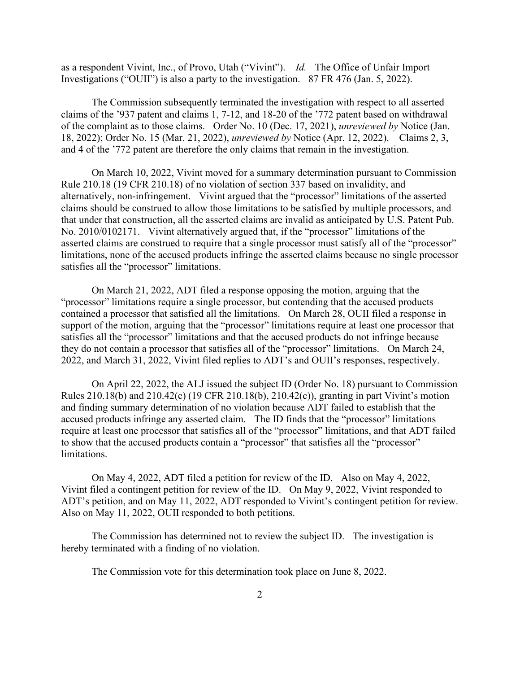as a respondent Vivint, Inc., of Provo, Utah ("Vivint"). *Id.* The Office of Unfair Import Investigations ("OUII") is also a party to the investigation. 87 FR 476 (Jan. 5, 2022).

The Commission subsequently terminated the investigation with respect to all asserted claims of the '937 patent and claims 1, 7-12, and 18-20 of the '772 patent based on withdrawal of the complaint as to those claims. Order No. 10 (Dec. 17, 2021), *unreviewed by* Notice (Jan. 18, 2022); Order No. 15 (Mar. 21, 2022), *unreviewed by* Notice (Apr. 12, 2022). Claims 2, 3, and 4 of the '772 patent are therefore the only claims that remain in the investigation.

On March 10, 2022, Vivint moved for a summary determination pursuant to Commission Rule 210.18 (19 CFR 210.18) of no violation of section 337 based on invalidity, and alternatively, non-infringement. Vivint argued that the "processor" limitations of the asserted claims should be construed to allow those limitations to be satisfied by multiple processors, and that under that construction, all the asserted claims are invalid as anticipated by U.S. Patent Pub. No. 2010/0102171. Vivint alternatively argued that, if the "processor" limitations of the asserted claims are construed to require that a single processor must satisfy all of the "processor" limitations, none of the accused products infringe the asserted claims because no single processor satisfies all the "processor" limitations.

On March 21, 2022, ADT filed a response opposing the motion, arguing that the "processor" limitations require a single processor, but contending that the accused products contained a processor that satisfied all the limitations. On March 28, OUII filed a response in support of the motion, arguing that the "processor" limitations require at least one processor that satisfies all the "processor" limitations and that the accused products do not infringe because they do not contain a processor that satisfies all of the "processor" limitations. On March 24, 2022, and March 31, 2022, Vivint filed replies to ADT's and OUII's responses, respectively.

On April 22, 2022, the ALJ issued the subject ID (Order No. 18) pursuant to Commission Rules 210.18(b) and 210.42(c) (19 CFR 210.18(b), 210.42(c)), granting in part Vivint's motion and finding summary determination of no violation because ADT failed to establish that the accused products infringe any asserted claim. The ID finds that the "processor" limitations require at least one processor that satisfies all of the "processor" limitations, and that ADT failed to show that the accused products contain a "processor" that satisfies all the "processor" limitations.

On May 4, 2022, ADT filed a petition for review of the ID. Also on May 4, 2022, Vivint filed a contingent petition for review of the ID. On May 9, 2022, Vivint responded to ADT's petition, and on May 11, 2022, ADT responded to Vivint's contingent petition for review. Also on May 11, 2022, OUII responded to both petitions.

The Commission has determined not to review the subject ID. The investigation is hereby terminated with a finding of no violation.

The Commission vote for this determination took place on June 8, 2022.